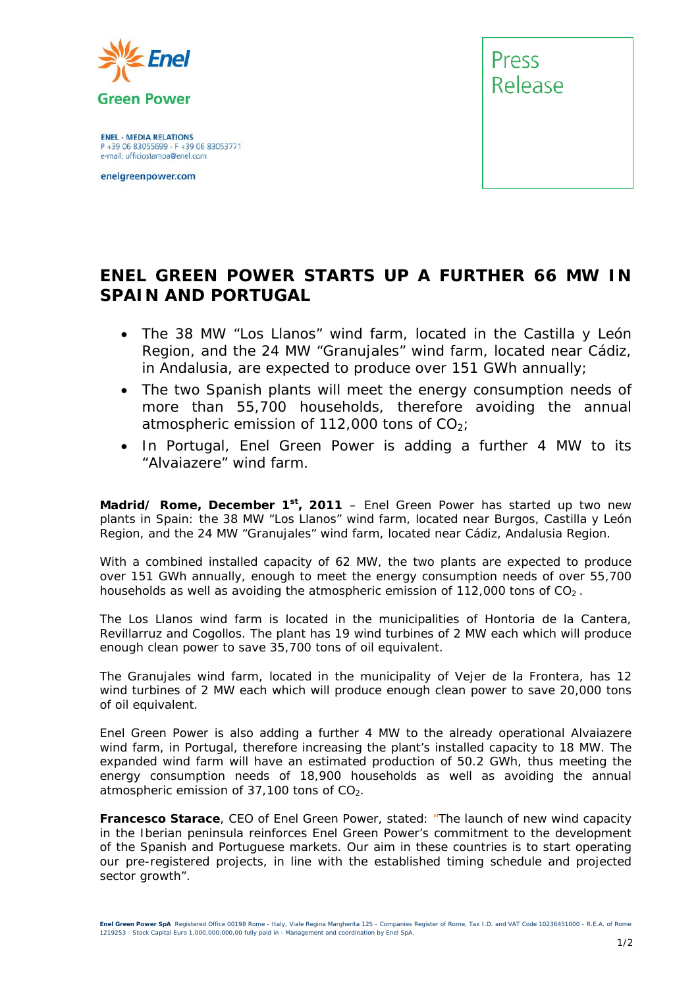

**ENEL - MEDIA RELATIONS** P +39 06 83055699 - F +39 06 83053771 e-mail: ufficiostampa@enel.com

enelgreenpower.com



## **ENEL GREEN POWER STARTS UP A FURTHER 66 MW IN SPAIN AND PORTUGAL**

- *The 38 MW "Los Llanos" wind farm, located in the Castilla y León Region, and the 24 MW "Granujales" wind farm, located near Cádiz, in Andalusia, are expected to produce over 151 GWh annually;*
- *The two Spanish plants will meet the energy consumption needs of more than 55,700 households, therefore avoiding the annual atmospheric emission of 112,000 tons of CO2;*
- In Portugal, Enel Green Power is adding a further 4 MW to its *"Alvaiazere" wind farm.*

**Madrid/ Rome, December 1st, 2011** – Enel Green Power has started up two new plants in Spain: the 38 MW "Los Llanos" wind farm, located near Burgos, Castilla y León Region, and the 24 MW "Granujales" wind farm, located near Cádiz, Andalusia Region.

With a combined installed capacity of 62 MW, the two plants are expected to produce over 151 GWh annually, enough to meet the energy consumption needs of over 55,700 households as well as avoiding the atmospheric emission of  $112,000$  tons of  $CO<sub>2</sub>$ .

The Los Llanos wind farm is located in the municipalities of Hontoria de la Cantera, Revillarruz and Cogollos. The plant has 19 wind turbines of 2 MW each which will produce enough clean power to save 35,700 tons of oil equivalent.

The Granujales wind farm, located in the municipality of Vejer de la Frontera, has 12 wind turbines of 2 MW each which will produce enough clean power to save 20,000 tons of oil equivalent.

Enel Green Power is also adding a further 4 MW to the already operational Alvaiazere wind farm, in Portugal, therefore increasing the plant's installed capacity to 18 MW. The expanded wind farm will have an estimated production of 50.2 GWh, thus meeting the energy consumption needs of 18,900 households as well as avoiding the annual atmospheric emission of  $37,100$  tons of  $CO<sub>2</sub>$ .

**Francesco Starace**, CEO of Enel Green Power, stated: *"The launch of new wind capacity in the Iberian peninsula reinforces Enel Green Power's commitment to the development of the Spanish and Portuguese markets. Our aim in these countries is to start operating our pre-registered projects, in line with the established timing schedule and projected sector growth".*